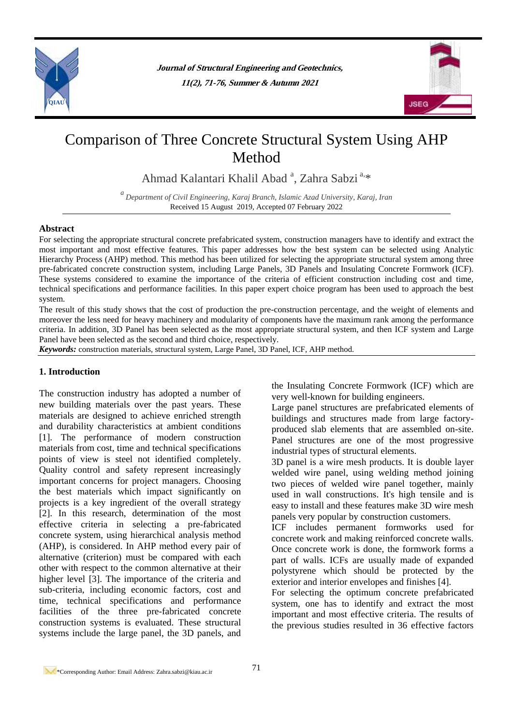

**Journal of Structural Engineering and Geotechnics, 11(2), 71-76, Summer & Autumn 2021**



# Comparison of Three Concrete Structural System Using AHP Method

Ahmad Kalantari Khalil Abad<sup>a</sup>, Zahra Sabzi<sup>a,\*</sup>

*a Department of Civil Engineering, Karaj Branch, Islamic Azad University, Karaj, Iran* Received 15 August 2019, Accepted 07 February 2022

### **Abstract**

For selecting the appropriate structural concrete prefabricated system, construction managers have to identify and extract the most important and most effective features. This paper addresses how the best system can be selected using Analytic Hierarchy Process (AHP) method. This method has been utilized for selecting the appropriate structural system among three pre-fabricated concrete construction system, including Large Panels, 3D Panels and Insulating Concrete Formwork (ICF). These systems considered to examine the importance of the criteria of efficient construction including cost and time, technical specifications and performance facilities. In this paper expert choice program has been used to approach the best system.

The result of this study shows that the cost of production the pre-construction percentage, and the weight of elements and moreover the less need for heavy machinery and modularity of components have the maximum rank among the performance criteria. In addition, 3D Panel has been selected as the most appropriate structural system, and then ICF system and Large Panel have been selected as the second and third choice, respectively.

*Keywords:* construction materials, structural system, Large Panel, 3D Panel, ICF, AHP method.

### **1. Introduction**

The construction industry has adopted a number of new building materials over the past years. These materials are designed to achieve enriched strength and durability characteristics at ambient conditions [1]. The performance of modern construction materials from cost, time and technical specifications points of view is steel not identified completely. Quality control and safety represent increasingly important concerns for project managers. Choosing the best materials which impact significantly on projects is a key ingredient of the overall strategy [2]. In this research, determination of the most effective criteria in selecting a pre-fabricated concrete system, using hierarchical analysis method (AHP), is considered. In AHP method every pair of alternative (criterion) must be compared with each other with respect to the common alternative at their higher level [3]. The importance of the criteria and sub-criteria, including economic factors, cost and time, technical specifications and performance facilities of the three pre-fabricated concrete construction systems is evaluated. These structural systems include the large panel, the 3D panels, and

the Insulating Concrete Formwork (ICF) which are very well-known for building engineers.

Large panel structures are prefabricated elements of buildings and structures made from large factoryproduced slab elements that are assembled on-site. Panel structures are one of the most progressive industrial types of structural elements.

3D panel is a wire mesh products. It is double layer welded wire panel, using welding method joining two pieces of welded wire panel together, mainly used in wall constructions. It's high tensile and is easy to install and these features make 3D wire mesh panels very popular by construction customers.

ICF includes permanent formworks used for concrete work and making reinforced concrete walls. Once concrete work is done, the formwork forms a part of walls. ICFs are usually made of expanded polystyrene which should be protected by the exterior and interior envelopes and finishes [4].

For selecting the optimum concrete prefabricated system, one has to identify and extract the most important and most effective criteria. The results of the previous studies resulted in 36 effective factors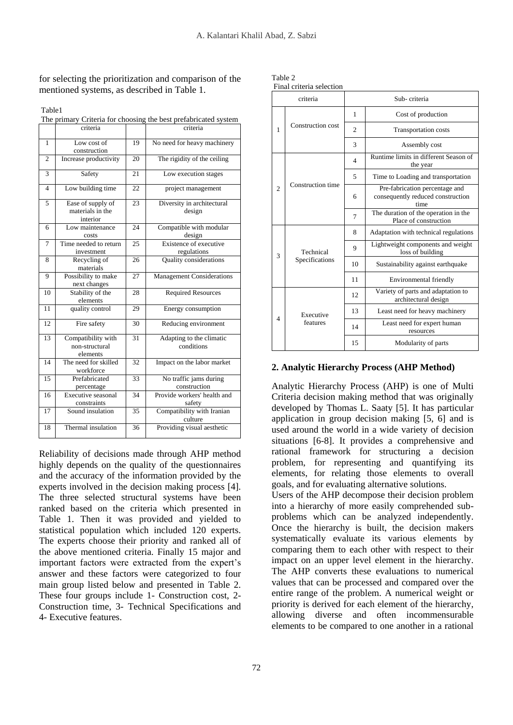for selecting the prioritization and comparison of the mentioned systems, as described in Table 1.

| ۰, |
|----|
|----|

The primary Criteria for choosing the best prefabricated system

|                | criteria                                          |    | criteria                               |  |
|----------------|---------------------------------------------------|----|----------------------------------------|--|
| $\mathbf{1}$   | Low cost of<br>construction                       | 19 | No need for heavy machinery            |  |
| $\overline{c}$ | Increase productivity                             | 20 | The rigidity of the ceiling            |  |
| 3              | Safety                                            | 21 | Low execution stages                   |  |
| $\overline{4}$ | Low building time                                 | 22 | project management                     |  |
| 5              | Ease of supply of<br>materials in the<br>interior | 23 | Diversity in architectural<br>design   |  |
| 6              | Low maintenance<br>costs                          | 24 | Compatible with modular<br>design      |  |
| 7              | Time needed to return<br>investment               | 25 | Existence of executive<br>regulations  |  |
| 8              | Recycling of<br>materials                         | 26 | Quality considerations                 |  |
| 9              | Possibility to make<br>next changes               | 27 | Management Considerations              |  |
| 10             | Stability of the<br>elements                      | 28 | <b>Required Resources</b>              |  |
| 11             | quality control                                   | 29 | Energy consumption                     |  |
| 12             | Fire safety                                       | 30 | Reducing environment                   |  |
| 13             | Compatibility with<br>non-structural<br>elements  | 31 | Adapting to the climatic<br>conditions |  |
| 14             | The need for skilled<br>workforce                 | 32 | Impact on the labor market             |  |
| 15             | Prefabricated<br>percentage                       | 33 | No traffic jams during<br>construction |  |
| 16             | Executive seasonal<br>constraints                 | 34 | Provide workers' health and<br>safety  |  |
| 17             | Sound insulation                                  | 35 | Compatibility with Iranian<br>culture  |  |
| 18             | Thermal insulation                                | 36 | Providing visual aesthetic             |  |

Reliability of decisions made through AHP method highly depends on the quality of the questionnaires and the accuracy of the information provided by the experts involved in the decision making process [4]. The three selected structural systems have been ranked based on the criteria which presented in Table 1. Then it was provided and yielded to statistical population which included 120 experts. The experts choose their priority and ranked all of the above mentioned criteria. Finally 15 major and important factors were extracted from the expert's answer and these factors were categorized to four main group listed below and presented in Table 2. These four groups include 1- Construction cost, 2- Construction time, 3- Technical Specifications and 4- Executive features.

| Table 2 |                |  |  |  |  |
|---------|----------------|--|--|--|--|
|         | Einal critoria |  |  |  |  |

| Final criteria selection |                             |                |                                                                             |  |  |
|--------------------------|-----------------------------|----------------|-----------------------------------------------------------------------------|--|--|
| criteria                 |                             | Sub-criteria   |                                                                             |  |  |
| 1                        | Construction cost           | 1              | Cost of production                                                          |  |  |
|                          |                             | $\overline{2}$ | Transportation costs                                                        |  |  |
|                          |                             | 3              | Assembly cost                                                               |  |  |
|                          | Construction time           | 4              | Runtime limits in different Season of<br>the year                           |  |  |
|                          |                             | 5              | Time to Loading and transportation                                          |  |  |
| $\overline{c}$           |                             | 6              | Pre-fabrication percentage and<br>consequently reduced construction<br>time |  |  |
|                          |                             | 7              | The duration of the operation in the<br>Place of construction               |  |  |
|                          | Technical<br>Specifications | 8              | Adaptation with technical regulations                                       |  |  |
| 3                        |                             | 9              | Lightweight components and weight<br>loss of building                       |  |  |
|                          |                             | 10             | Sustainability against earthquake                                           |  |  |
|                          |                             | 11             | Environmental friendly                                                      |  |  |
|                          | Executive<br>features       | 12             | Variety of parts and adaptation to<br>architectural design                  |  |  |
| $\Delta$                 |                             | 13             | Least need for heavy machinery                                              |  |  |
|                          |                             | 14             | Least need for expert human<br>resources                                    |  |  |
|                          |                             | 15             | Modularity of parts                                                         |  |  |

# **2. Analytic Hierarchy Process (AHP Method)**

Analytic Hierarchy Process (AHP) is one of Multi Criteria decision making method that was originally developed by Thomas L. Saaty [5]. It has particular application in group decision making [5, 6] and is used around the world in a wide variety of decision situations [6-8]. It provides a comprehensive and rational framework for structuring a decision problem, for representing and quantifying its elements, for relating those elements to overall goals, and for evaluating alternative solutions.

Users of the AHP decompose their decision problem into a hierarchy of more easily comprehended subproblems which can be analyzed independently. Once the hierarchy is built, the decision makers systematically evaluate its various elements by comparing them to each other with respect to their impact on an upper level element in the hierarchy. The AHP converts these evaluations to numerical values that can be processed and compared over the entire range of the problem. A numerical weight or priority is derived for each element of the hierarchy, allowing diverse and often incommensurable elements to be compared to one another in a rational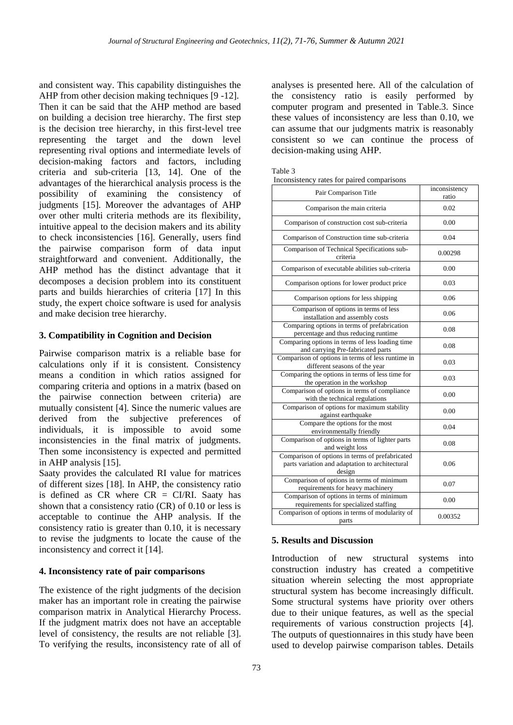and consistent way. This capability distinguishes the AHP from other decision making techniques [9 -12]. Then it can be said that the AHP method are based on building a decision tree hierarchy. The first step is the decision tree hierarchy, in this first-level tree representing the target and the down level representing rival options and intermediate levels of decision-making factors and factors, including criteria and sub-criteria [13, 14]. One of the advantages of the hierarchical analysis process is the possibility of examining the consistency of judgments [15]. Moreover the advantages of AHP over other multi criteria methods are its flexibility, intuitive appeal to the decision makers and its ability to check inconsistencies [16]. Generally, users find the pairwise comparison form of data input straightforward and convenient. Additionally, the AHP method has the distinct advantage that it decomposes a decision problem into its constituent parts and builds hierarchies of criteria [17] In this study, the expert choice software is used for analysis and make decision tree hierarchy.

### **3. Compatibility in Cognition and Decision**

Pairwise comparison matrix is a reliable base for calculations only if it is consistent. Consistency means a condition in which ratios assigned for comparing criteria and options in a matrix (based on the pairwise connection between criteria) are mutually consistent [4]. Since the numeric values are derived from the subjective preferences of individuals, it is impossible to avoid some inconsistencies in the final matrix of judgments. Then some inconsistency is expected and permitted in AHP analysis [15].

Saaty provides the calculated RI value for matrices of different sizes [18]. In AHP, the consistency ratio is defined as CR where  $CR = CI/RI$ . Saaty has shown that a consistency ratio (CR) of 0.10 or less is acceptable to continue the AHP analysis. If the consistency ratio is greater than 0.10, it is necessary to revise the judgments to locate the cause of the inconsistency and correct it [14].

## **4. Inconsistency rate of pair comparisons**

The existence of the right judgments of the decision maker has an important role in creating the pairwise comparison matrix in Analytical Hierarchy Process. If the judgment matrix does not have an acceptable level of consistency, the results are not reliable [3]. To verifying the results, inconsistency rate of all of

analyses is presented here. All of the calculation of the consistency ratio is easily performed by computer program and presented in Table.3. Since these values of inconsistency are less than 0.10, we can assume that our judgments matrix is reasonably consistent so we can continue the process of decision-making using AHP.

| anie |  |
|------|--|
|------|--|

| Inconsistency rates for paired comparisons |  |  |
|--------------------------------------------|--|--|
|                                            |  |  |

| Pair Comparison Title                                                                                        | inconsistency<br>ratio |
|--------------------------------------------------------------------------------------------------------------|------------------------|
| Comparison the main criteria                                                                                 | 0.02                   |
| Comparison of construction cost sub-criteria                                                                 | 0.00                   |
| Comparison of Construction time sub-criteria                                                                 | 0.04                   |
| Comparison of Technical Specifications sub-<br>criteria                                                      | 0.00298                |
| Comparison of executable abilities sub-criteria                                                              | 0.00                   |
| Comparison options for lower product price                                                                   | 0.03                   |
| Comparison options for less shipping                                                                         | 0.06                   |
| Comparison of options in terms of less<br>installation and assembly costs                                    | 0.06                   |
| Comparing options in terms of prefabrication<br>percentage and thus reducing runtime                         | 0.08                   |
| Comparing options in terms of less loading time<br>and carrying Pre-fabricated parts                         | 0.08                   |
| Comparison of options in terms of less runtime in<br>different seasons of the year                           | 0.03                   |
| Comparing the options in terms of less time for<br>the operation in the workshop                             | 0.03                   |
| Comparison of options in terms of compliance<br>with the technical regulations                               | 0.00                   |
| Comparison of options for maximum stability<br>against earthquake                                            | 0.00                   |
| Compare the options for the most<br>environmentally friendly                                                 | 0.04                   |
| Comparison of options in terms of lighter parts<br>and weight loss                                           | 0.08                   |
| Comparison of options in terms of prefabricated<br>parts variation and adaptation to architectural<br>design | 0.06                   |
| Comparison of options in terms of minimum<br>requirements for heavy machinery                                | 0.07                   |
| Comparison of options in terms of minimum<br>requirements for specialized staffing                           | 0.00                   |
| Comparison of options in terms of modularity of<br>parts                                                     | 0.00352                |

#### **5. Results and Discussion**

Introduction of new structural systems into construction industry has created a competitive situation wherein selecting the most appropriate structural system has become increasingly difficult. Some structural systems have priority over others due to their unique features, as well as the special requirements of various construction projects [4]. The outputs of questionnaires in this study have been used to develop pairwise comparison tables. Details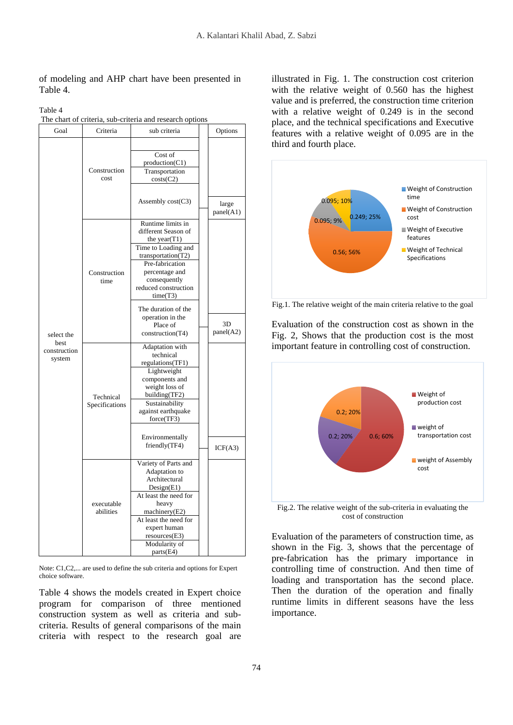## of modeling and AHP chart have been presented in Table 4.

|                                |                             | The chart of criteria, sub-criteria and research options                                                                                                                                                        |                             |
|--------------------------------|-----------------------------|-----------------------------------------------------------------------------------------------------------------------------------------------------------------------------------------------------------------|-----------------------------|
| Goal                           | Criteria                    | sub criteria                                                                                                                                                                                                    | Options                     |
|                                | Construction<br>cost        | Cost of<br>production(C1)<br>Transportation<br>costs(C2)<br>Assembly cost(C3)                                                                                                                                   | large<br>panel(A1)          |
|                                | Construction<br>time        | Runtime limits in<br>different Season of<br>the year $(T1)$<br>Time to Loading and<br>transportation(T2)<br>Pre-fabrication<br>percentage and<br>consequently<br>reduced construction<br>time(T3)               |                             |
| select the                     |                             | The duration of the<br>operation in the<br>Place of<br>construction(T4)                                                                                                                                         | 3 <sub>D</sub><br>panel(A2) |
| best<br>construction<br>system | Technical<br>Specifications | Adaptation with<br>technical<br>regulations(TF1)<br>Lightweight<br>components and<br>weight loss of<br>building(TF2)<br>Sustainability<br>against earthquake<br>force(TF3)<br>Environmentally<br>friendly(TF4)  |                             |
|                                | executable<br>abilities     | Variety of Parts and<br>Adaptation to<br>Architectural<br>Design(E1)<br>At least the need for<br>heavy<br>machinery(E2)<br>At least the need for<br>expert human<br>resources(E3)<br>Modularity of<br>parts(E4) | ICF(A3)                     |

Table 4

Note: C1,C2,... are used to define the sub criteria and options for Expert choice software.

Table 4 shows the models created in Expert choice program for comparison of three mentioned construction system as well as criteria and subcriteria. Results of general comparisons of the main criteria with respect to the research goal are

illustrated in Fig. 1. The construction cost criterion with the relative weight of 0.560 has the highest value and is preferred, the construction time criterion with a relative weight of 0.249 is in the second place, and the technical specifications and Executive features with a relative weight of 0.095 are in the third and fourth place.



Fig.1. The relative weight of the main criteria relative to the goal

Evaluation of the construction cost as shown in the Fig. 2, Shows that the production cost is the most important feature in controlling cost of construction.



Fig.2. The relative weight of the sub-criteria in evaluating the cost of construction

Evaluation of the parameters of construction time, as shown in the Fig. 3, shows that the percentage of pre-fabrication has the primary importance in controlling time of construction. And then time of loading and transportation has the second place. Then the duration of the operation and finally runtime limits in different seasons have the less importance.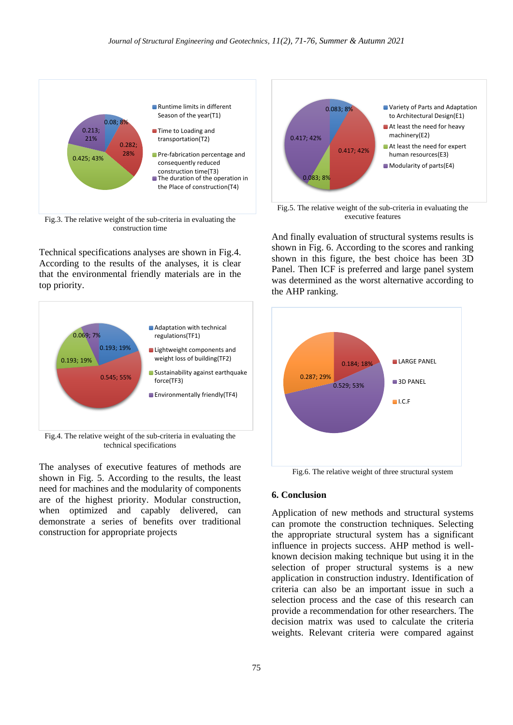

Fig.3. The relative weight of the sub-criteria in evaluating the construction time

Technical specifications analyses are shown in Fig.4. According to the results of the analyses, it is clear that the environmental friendly materials are in the top priority.



Fig.4. The relative weight of the sub-criteria in evaluating the technical specifications

The analyses of executive features of methods are shown in Fig. 5. According to the results, the least need for machines and the modularity of components are of the highest priority. Modular construction, when optimized and capably delivered, can demonstrate a series of benefits over traditional construction for appropriate projects



Fig.5. The relative weight of the sub-criteria in evaluating the executive features

And finally evaluation of structural systems results is shown in Fig. 6. According to the scores and ranking shown in this figure, the best choice has been 3D Panel. Then ICF is preferred and large panel system was determined as the worst alternative according to the AHP ranking.



Fig.6. The relative weight of three structural system

#### **6. Conclusion**

Application of new methods and structural systems can promote the construction techniques. Selecting the appropriate structural system has a significant influence in projects success. AHP method is wellknown decision making technique but using it in the selection of proper structural systems is a new application in construction industry. Identification of criteria can also be an important issue in such a selection process and the case of this research can provide a recommendation for other researchers. The decision matrix was used to calculate the criteria weights. Relevant criteria were compared against